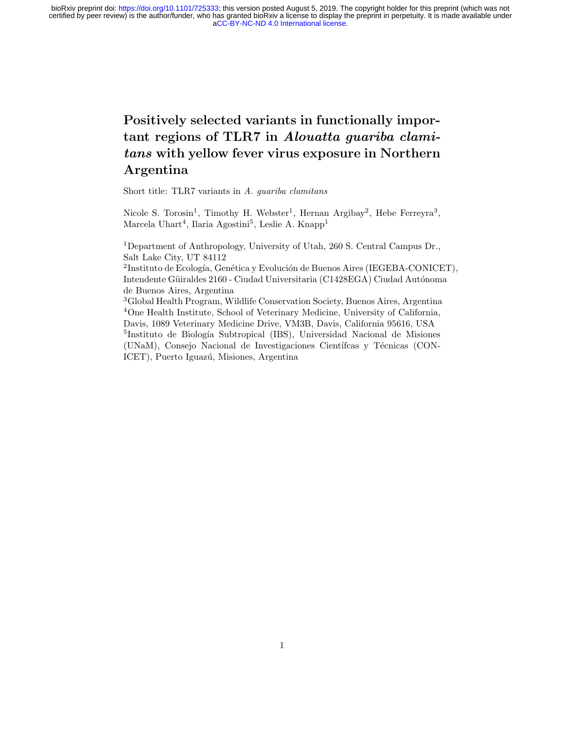# Positively selected variants in functionally important regions of TLR7 in Alouatta guariba clamitans with yellow fever virus exposure in Northern Argentina

Short title: TLR7 variants in A. guariba clamitans

Nicole S. Torosin<sup>1</sup>, Timothy H. Webster<sup>1</sup>, Hernan Argibay<sup>2</sup>, Hebe Ferreyra<sup>3</sup>, Marcela Uhart<sup>4</sup>, Ilaria Agostini<sup>5</sup>, Leslie A. Knapp<sup>1</sup>

<sup>1</sup>Department of Anthropology, University of Utah, 260 S. Central Campus Dr., Salt Lake City, UT 84112

<sup>2</sup>Instituto de Ecología, Genética y Evolución de Buenos Aires (IEGEBA-CONICET), Intendente Güiraldes 2160 - Ciudad Universitaria (C1428EGA) Ciudad Autónoma de Buenos Aires, Argentina

<sup>3</sup>Global Health Program, Wildlife Conservation Society, Buenos Aires, Argentina <sup>4</sup>One Health Institute, School of Veterinary Medicine, University of California, Davis, 1089 Veterinary Medicine Drive, VM3B, Davis, California 95616, USA <sup>5</sup>Instituto de Biología Subtropical (IBS), Universidad Nacional de Misiones (UNaM), Consejo Nacional de Investigaciones Científcas y Técnicas (CON-ICET), Puerto Iguazú, Misiones, Argentina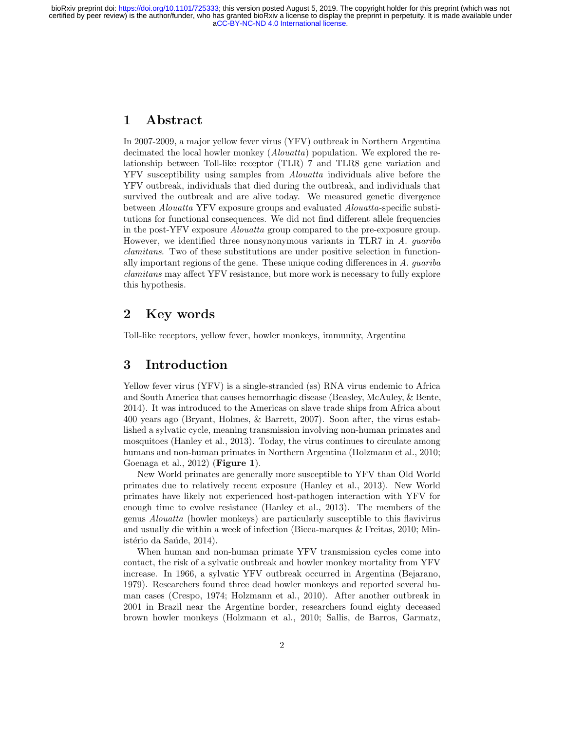### 1 Abstract

In 2007-2009, a major yellow fever virus (YFV) outbreak in Northern Argentina decimated the local howler monkey (*Alouatta*) population. We explored the relationship between Toll-like receptor (TLR) 7 and TLR8 gene variation and YFV susceptibility using samples from Alouatta individuals alive before the YFV outbreak, individuals that died during the outbreak, and individuals that survived the outbreak and are alive today. We measured genetic divergence between Alouatta YFV exposure groups and evaluated Alouatta-specific substitutions for functional consequences. We did not find different allele frequencies in the post-YFV exposure Alouatta group compared to the pre-exposure group. However, we identified three nonsynonymous variants in TLR7 in A. guariba clamitans. Two of these substitutions are under positive selection in functionally important regions of the gene. These unique coding differences in  $A$ . quariba clamitans may affect YFV resistance, but more work is necessary to fully explore this hypothesis.

# 2 Key words

Toll-like receptors, yellow fever, howler monkeys, immunity, Argentina

# 3 Introduction

Yellow fever virus (YFV) is a single-stranded (ss) RNA virus endemic to Africa and South America that causes hemorrhagic disease (Beasley, McAuley, & Bente, 2014). It was introduced to the Americas on slave trade ships from Africa about 400 years ago (Bryant, Holmes, & Barrett, 2007). Soon after, the virus established a sylvatic cycle, meaning transmission involving non-human primates and mosquitoes (Hanley et al., 2013). Today, the virus continues to circulate among humans and non-human primates in Northern Argentina (Holzmann et al., 2010; Goenaga et al., 2012) (Figure 1).

New World primates are generally more susceptible to YFV than Old World primates due to relatively recent exposure (Hanley et al., 2013). New World primates have likely not experienced host-pathogen interaction with YFV for enough time to evolve resistance (Hanley et al., 2013). The members of the genus Alouatta (howler monkeys) are particularly susceptible to this flavivirus and usually die within a week of infection (Bicca-marques & Freitas, 2010; Ministério da Saúde, 2014).

When human and non-human primate YFV transmission cycles come into contact, the risk of a sylvatic outbreak and howler monkey mortality from YFV increase. In 1966, a sylvatic YFV outbreak occurred in Argentina (Bejarano, 1979). Researchers found three dead howler monkeys and reported several human cases (Crespo, 1974; Holzmann et al., 2010). After another outbreak in 2001 in Brazil near the Argentine border, researchers found eighty deceased brown howler monkeys (Holzmann et al., 2010; Sallis, de Barros, Garmatz,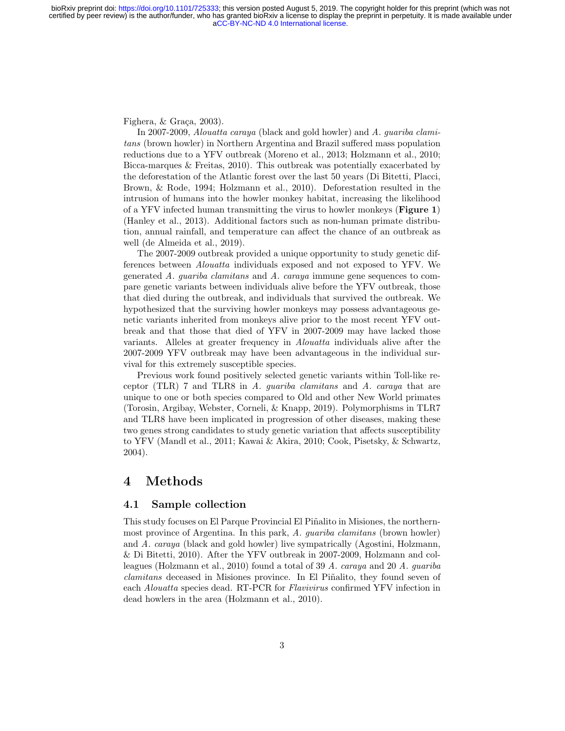Fighera,  $&$  Graça, 2003).

In 2007-2009, Alouatta caraya (black and gold howler) and A. guariba clamitans (brown howler) in Northern Argentina and Brazil suffered mass population reductions due to a YFV outbreak (Moreno et al., 2013; Holzmann et al., 2010; Bicca-marques & Freitas, 2010). This outbreak was potentially exacerbated by the deforestation of the Atlantic forest over the last 50 years (Di Bitetti, Placci, Brown, & Rode, 1994; Holzmann et al., 2010). Deforestation resulted in the intrusion of humans into the howler monkey habitat, increasing the likelihood of a YFV infected human transmitting the virus to howler monkeys (Figure 1) (Hanley et al., 2013). Additional factors such as non-human primate distribution, annual rainfall, and temperature can affect the chance of an outbreak as well (de Almeida et al., 2019).

The 2007-2009 outbreak provided a unique opportunity to study genetic differences between Alouatta individuals exposed and not exposed to YFV. We generated A. guariba clamitans and A. caraya immune gene sequences to compare genetic variants between individuals alive before the YFV outbreak, those that died during the outbreak, and individuals that survived the outbreak. We hypothesized that the surviving howler monkeys may possess advantageous genetic variants inherited from monkeys alive prior to the most recent YFV outbreak and that those that died of YFV in 2007-2009 may have lacked those variants. Alleles at greater frequency in Alouatta individuals alive after the 2007-2009 YFV outbreak may have been advantageous in the individual survival for this extremely susceptible species.

Previous work found positively selected genetic variants within Toll-like receptor (TLR) 7 and TLR8 in A. guariba clamitans and A. caraya that are unique to one or both species compared to Old and other New World primates (Torosin, Argibay, Webster, Corneli, & Knapp, 2019). Polymorphisms in TLR7 and TLR8 have been implicated in progression of other diseases, making these two genes strong candidates to study genetic variation that affects susceptibility to YFV (Mandl et al., 2011; Kawai & Akira, 2010; Cook, Pisetsky, & Schwartz, 2004).

## 4 Methods

#### 4.1 Sample collection

This study focuses on El Parque Provincial El Piñalito in Misiones, the northernmost province of Argentina. In this park, A. guariba clamitans (brown howler) and A. caraya (black and gold howler) live sympatrically (Agostini, Holzmann, & Di Bitetti, 2010). After the YFV outbreak in 2007-2009, Holzmann and colleagues (Holzmann et al., 2010) found a total of 39 A. caraya and 20 A. guariba clamitans deceased in Misiones province. In El Piñalito, they found seven of each Alouatta species dead. RT-PCR for Flavivirus confirmed YFV infection in dead howlers in the area (Holzmann et al., 2010).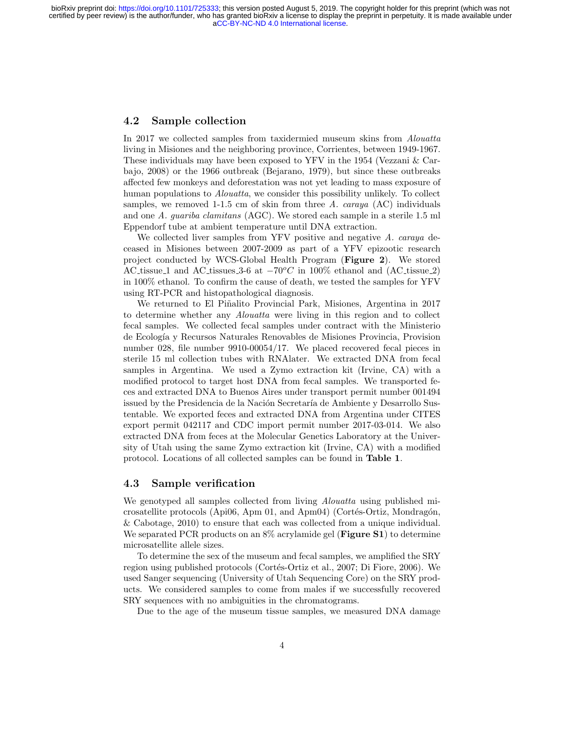#### 4.2 Sample collection

In 2017 we collected samples from taxidermied museum skins from Alouatta living in Misiones and the neighboring province, Corrientes, between 1949-1967. These individuals may have been exposed to YFV in the 1954 (Vezzani & Carbajo, 2008) or the 1966 outbreak (Bejarano, 1979), but since these outbreaks affected few monkeys and deforestation was not yet leading to mass exposure of human populations to *Alouatta*, we consider this possibility unlikely. To collect samples, we removed 1-1.5 cm of skin from three A. carava  $(AC)$  individuals and one A. guariba clamitans (AGC). We stored each sample in a sterile 1.5 ml Eppendorf tube at ambient temperature until DNA extraction.

We collected liver samples from YFV positive and negative A. caraya deceased in Misiones between 2007-2009 as part of a YFV epizootic research project conducted by WCS-Global Health Program (Figure 2). We stored AC tissue 1 and AC tissues 3-6 at  $-70\degree C$  in 100% ethanol and (AC tissue 2) in 100% ethanol. To confirm the cause of death, we tested the samples for YFV using RT-PCR and histopathological diagnosis.

We returned to El Piñalito Provincial Park, Misiones, Argentina in 2017 to determine whether any Alouatta were living in this region and to collect fecal samples. We collected fecal samples under contract with the Ministerio de Ecolog´ıa y Recursos Naturales Renovables de Misiones Provincia, Provision number 028, file number 9910-00054/17. We placed recovered fecal pieces in sterile 15 ml collection tubes with RNAlater. We extracted DNA from fecal samples in Argentina. We used a Zymo extraction kit (Irvine, CA) with a modified protocol to target host DNA from fecal samples. We transported feces and extracted DNA to Buenos Aires under transport permit number 001494 issued by the Presidencia de la Nación Secretaría de Ambiente y Desarrollo Sustentable. We exported feces and extracted DNA from Argentina under CITES export permit 042117 and CDC import permit number 2017-03-014. We also extracted DNA from feces at the Molecular Genetics Laboratory at the University of Utah using the same Zymo extraction kit (Irvine, CA) with a modified protocol. Locations of all collected samples can be found in Table 1.

#### 4.3 Sample verification

We genotyped all samples collected from living *Alouatta* using published microsatellite protocols (Api06, Apm 01, and Apm04) (Cortés-Ortiz, Mondragón, & Cabotage, 2010) to ensure that each was collected from a unique individual. We separated PCR products on an 8% acrylamide gel (**Figure S1**) to determine microsatellite allele sizes.

To determine the sex of the museum and fecal samples, we amplified the SRY region using published protocols (Cortés-Ortiz et al., 2007; Di Fiore, 2006). We used Sanger sequencing (University of Utah Sequencing Core) on the SRY products. We considered samples to come from males if we successfully recovered SRY sequences with no ambiguities in the chromatograms.

Due to the age of the museum tissue samples, we measured DNA damage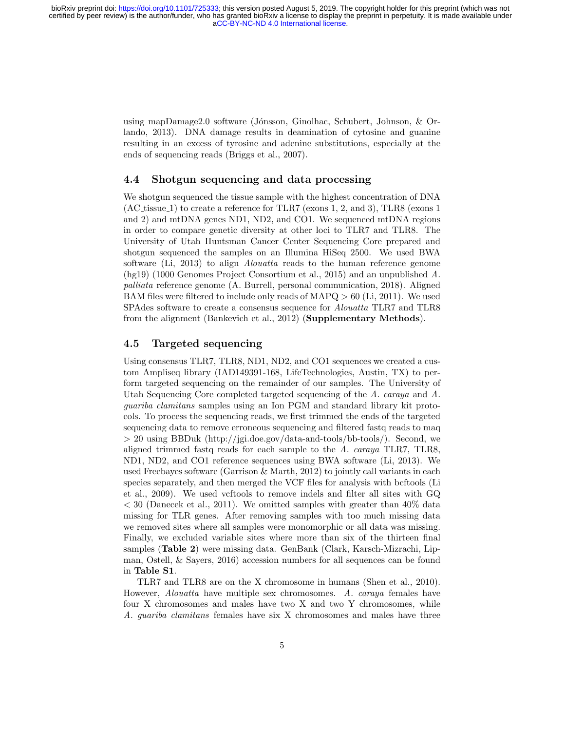using mapDamage2.0 software (Jónsson, Ginolhac, Schubert, Johnson,  $&$  Orlando, 2013). DNA damage results in deamination of cytosine and guanine resulting in an excess of tyrosine and adenine substitutions, especially at the ends of sequencing reads (Briggs et al., 2007).

#### 4.4 Shotgun sequencing and data processing

We shotgun sequenced the tissue sample with the highest concentration of DNA (AC\_tissue\_1) to create a reference for TLR7 (exons 1, 2, and 3), TLR8 (exons 1 and 2) and mtDNA genes ND1, ND2, and CO1. We sequenced mtDNA regions in order to compare genetic diversity at other loci to TLR7 and TLR8. The University of Utah Huntsman Cancer Center Sequencing Core prepared and shotgun sequenced the samples on an Illumina HiSeq 2500. We used BWA software (Li, 2013) to align Alouatta reads to the human reference genome (hg19) (1000 Genomes Project Consortium et al., 2015) and an unpublished A. palliata reference genome (A. Burrell, personal communication, 2018). Aligned BAM files were filtered to include only reads of MAPQ > 60 (Li, 2011). We used SPAdes software to create a consensus sequence for Alouatta TLR7 and TLR8 from the alignment (Bankevich et al., 2012) (Supplementary Methods).

#### 4.5 Targeted sequencing

Using consensus TLR7, TLR8, ND1, ND2, and CO1 sequences we created a custom Ampliseq library (IAD149391-168, LifeTechnologies, Austin, TX) to perform targeted sequencing on the remainder of our samples. The University of Utah Sequencing Core completed targeted sequencing of the A. caraya and A. guariba clamitans samples using an Ion PGM and standard library kit protocols. To process the sequencing reads, we first trimmed the ends of the targeted sequencing data to remove erroneous sequencing and filtered fastq reads to maq > 20 using BBDuk (http://jgi.doe.gov/data-and-tools/bb-tools/). Second, we aligned trimmed fastq reads for each sample to the A. caraya TLR7, TLR8, ND1, ND2, and CO1 reference sequences using BWA software (Li, 2013). We used Freebayes software (Garrison & Marth, 2012) to jointly call variants in each species separately, and then merged the VCF files for analysis with bcftools (Li et al., 2009). We used vcftools to remove indels and filter all sites with GQ  $<$  30 (Danecek et al., 2011). We omitted samples with greater than  $40\%$  data missing for TLR genes. After removing samples with too much missing data we removed sites where all samples were monomorphic or all data was missing. Finally, we excluded variable sites where more than six of the thirteen final samples (Table 2) were missing data. GenBank (Clark, Karsch-Mizrachi, Lipman, Ostell, & Sayers, 2016) accession numbers for all sequences can be found in Table S1.

TLR7 and TLR8 are on the X chromosome in humans (Shen et al., 2010). However, Alouatta have multiple sex chromosomes. A. caraya females have four X chromosomes and males have two X and two Y chromosomes, while A. guariba clamitans females have six X chromosomes and males have three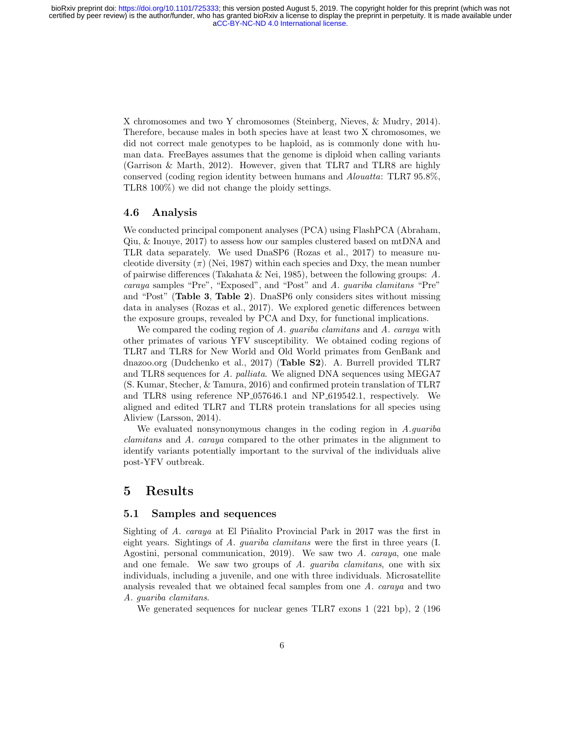X chromosomes and two Y chromosomes (Steinberg, Nieves, & Mudry, 2014). Therefore, because males in both species have at least two X chromosomes, we did not correct male genotypes to be haploid, as is commonly done with human data. FreeBayes assumes that the genome is diploid when calling variants (Garrison & Marth, 2012). However, given that TLR7 and TLR8 are highly conserved (coding region identity between humans and Alouatta: TLR7 95.8%, TLR8 100%) we did not change the ploidy settings.

#### 4.6 Analysis

We conducted principal component analyses (PCA) using FlashPCA (Abraham, Qiu, & Inouye, 2017) to assess how our samples clustered based on mtDNA and TLR data separately. We used DnaSP6 (Rozas et al., 2017) to measure nucleotide diversity  $(\pi)$  (Nei, 1987) within each species and Dxy, the mean number of pairwise differences (Takahata & Nei, 1985), between the following groups: A. caraya samples "Pre", "Exposed", and "Post" and A. guariba clamitans "Pre" and "Post" (Table 3, Table 2). DnaSP6 only considers sites without missing data in analyses (Rozas et al., 2017). We explored genetic differences between the exposure groups, revealed by PCA and Dxy, for functional implications.

We compared the coding region of A. guariba clamitans and A. caraya with other primates of various YFV susceptibility. We obtained coding regions of TLR7 and TLR8 for New World and Old World primates from GenBank and dnazoo.org (Dudchenko et al., 2017) (Table S2). A. Burrell provided TLR7 and TLR8 sequences for A. palliata. We aligned DNA sequences using MEGA7 (S. Kumar, Stecher, & Tamura, 2016) and confirmed protein translation of TLR7 and TLR8 using reference NP 057646.1 and NP 619542.1, respectively. We aligned and edited TLR7 and TLR8 protein translations for all species using Aliview (Larsson, 2014).

We evaluated nonsynonymous changes in the coding region in A.quariba clamitans and A. caraya compared to the other primates in the alignment to identify variants potentially important to the survival of the individuals alive post-YFV outbreak.

### 5 Results

#### 5.1 Samples and sequences

Sighting of A. caraya at El Piñalito Provincial Park in 2017 was the first in eight years. Sightings of A. guariba clamitans were the first in three years (I. Agostini, personal communication, 2019). We saw two A. caraya, one male and one female. We saw two groups of A. quariba clamitans, one with six individuals, including a juvenile, and one with three individuals. Microsatellite analysis revealed that we obtained fecal samples from one A. caraya and two A. guariba clamitans.

We generated sequences for nuclear genes TLR7 exons 1 (221 bp), 2 (196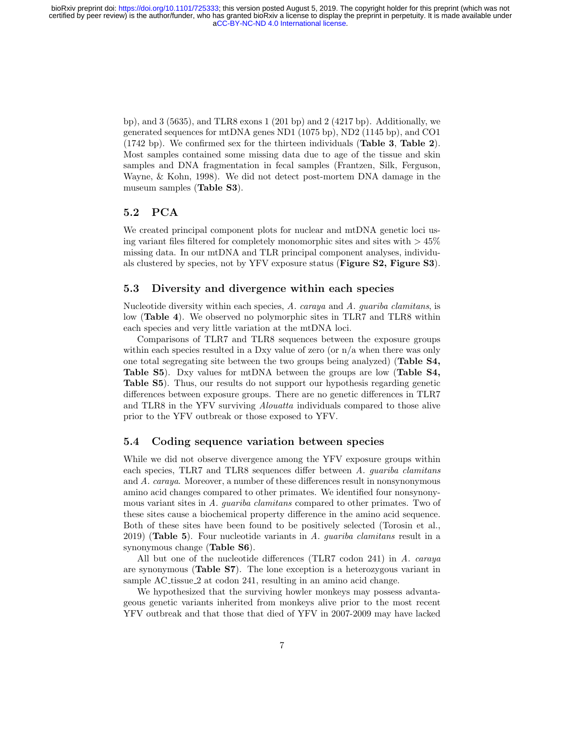bp), and  $3(5635)$ , and TLR8 exons  $1(201$  bp) and  $2(4217$  bp). Additionally, we generated sequences for mtDNA genes ND1 (1075 bp), ND2 (1145 bp), and CO1 (1742 bp). We confirmed sex for the thirteen individuals (Table 3, Table 2). Most samples contained some missing data due to age of the tissue and skin samples and DNA fragmentation in fecal samples (Frantzen, Silk, Ferguson, Wayne, & Kohn, 1998). We did not detect post-mortem DNA damage in the museum samples (Table S3).

### 5.2 PCA

We created principal component plots for nuclear and mtDNA genetic loci using variant files filtered for completely monomorphic sites and sites with  $> 45\%$ missing data. In our mtDNA and TLR principal component analyses, individuals clustered by species, not by YFV exposure status (Figure S2, Figure S3).

#### 5.3 Diversity and divergence within each species

Nucleotide diversity within each species, A. caraya and A. guariba clamitans, is low (Table 4). We observed no polymorphic sites in TLR7 and TLR8 within each species and very little variation at the mtDNA loci.

Comparisons of TLR7 and TLR8 sequences between the exposure groups within each species resulted in a Dxy value of zero (or  $n/a$  when there was only one total segregating site between the two groups being analyzed) (Table S4, Table S5). Dxy values for mtDNA between the groups are low (Table S4, Table S5). Thus, our results do not support our hypothesis regarding genetic differences between exposure groups. There are no genetic differences in TLR7 and TLR8 in the YFV surviving Alouatta individuals compared to those alive prior to the YFV outbreak or those exposed to YFV.

#### 5.4 Coding sequence variation between species

While we did not observe divergence among the YFV exposure groups within each species, TLR7 and TLR8 sequences differ between A. guariba clamitans and A. caraya. Moreover, a number of these differences result in nonsynonymous amino acid changes compared to other primates. We identified four nonsynonymous variant sites in A. guariba clamitans compared to other primates. Two of these sites cause a biochemical property difference in the amino acid sequence. Both of these sites have been found to be positively selected (Torosin et al., 2019) (Table 5). Four nucleotide variants in  $\tilde{A}$ . *quariba clamitans* result in a synonymous change (Table S6).

All but one of the nucleotide differences (TLR7 codon 241) in A. caraya are synonymous (Table S7). The lone exception is a heterozygous variant in sample AC tissue 2 at codon 241, resulting in an amino acid change.

We hypothesized that the surviving howler monkeys may possess advantageous genetic variants inherited from monkeys alive prior to the most recent YFV outbreak and that those that died of YFV in 2007-2009 may have lacked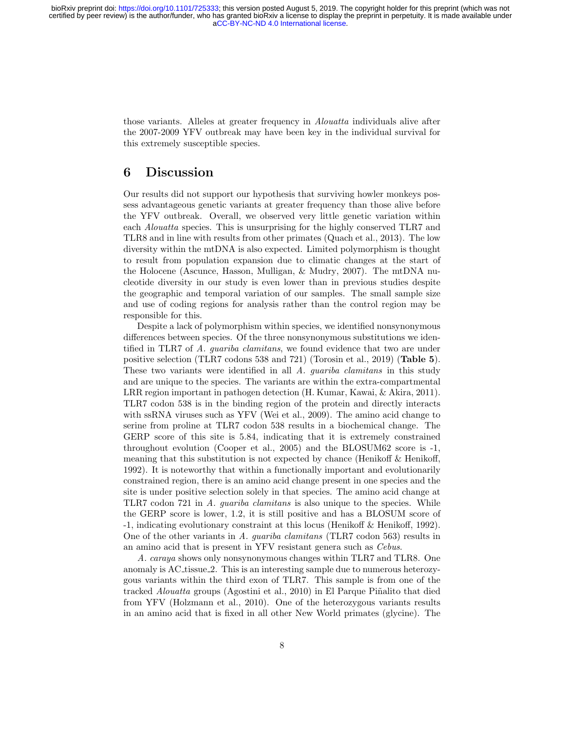those variants. Alleles at greater frequency in Alouatta individuals alive after the 2007-2009 YFV outbreak may have been key in the individual survival for this extremely susceptible species.

# 6 Discussion

Our results did not support our hypothesis that surviving howler monkeys possess advantageous genetic variants at greater frequency than those alive before the YFV outbreak. Overall, we observed very little genetic variation within each Alouatta species. This is unsurprising for the highly conserved TLR7 and TLR8 and in line with results from other primates (Quach et al., 2013). The low diversity within the mtDNA is also expected. Limited polymorphism is thought to result from population expansion due to climatic changes at the start of the Holocene (Ascunce, Hasson, Mulligan, & Mudry, 2007). The mtDNA nucleotide diversity in our study is even lower than in previous studies despite the geographic and temporal variation of our samples. The small sample size and use of coding regions for analysis rather than the control region may be responsible for this.

Despite a lack of polymorphism within species, we identified nonsynonymous differences between species. Of the three nonsynonymous substitutions we identified in TLR7 of A. *quariba clamitans*, we found evidence that two are under positive selection (TLR7 codons 538 and 721) (Torosin et al., 2019) (Table 5). These two variants were identified in all A. *guariba clamitans* in this study and are unique to the species. The variants are within the extra-compartmental LRR region important in pathogen detection (H. Kumar, Kawai, & Akira, 2011). TLR7 codon 538 is in the binding region of the protein and directly interacts with ssRNA viruses such as YFV (Wei et al., 2009). The amino acid change to serine from proline at TLR7 codon 538 results in a biochemical change. The GERP score of this site is 5.84, indicating that it is extremely constrained throughout evolution (Cooper et al., 2005) and the BLOSUM62 score is -1, meaning that this substitution is not expected by chance (Henikoff & Henikoff, 1992). It is noteworthy that within a functionally important and evolutionarily constrained region, there is an amino acid change present in one species and the site is under positive selection solely in that species. The amino acid change at TLR7 codon 721 in A. guariba clamitans is also unique to the species. While the GERP score is lower, 1.2, it is still positive and has a BLOSUM score of -1, indicating evolutionary constraint at this locus (Henikoff & Henikoff, 1992). One of the other variants in A. guariba clamitans (TLR7 codon 563) results in an amino acid that is present in YFV resistant genera such as Cebus.

A. caraya shows only nonsynonymous changes within TLR7 and TLR8. One anomaly is AC tissue 2. This is an interesting sample due to numerous heterozygous variants within the third exon of TLR7. This sample is from one of the tracked *Alouatta* groups (Agostini et al., 2010) in El Parque Piñalito that died from YFV (Holzmann et al., 2010). One of the heterozygous variants results in an amino acid that is fixed in all other New World primates (glycine). The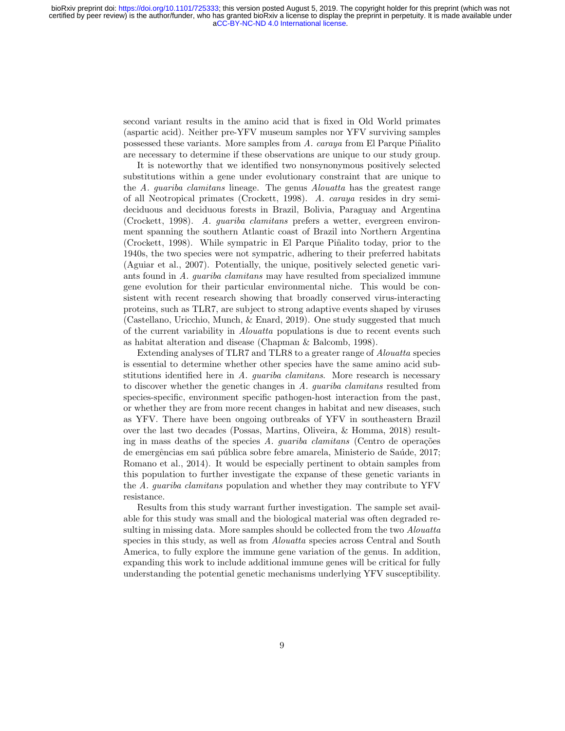second variant results in the amino acid that is fixed in Old World primates (aspartic acid). Neither pre-YFV museum samples nor YFV surviving samples possessed these variants. More samples from  $A$ . caraya from El Parque Piñalito are necessary to determine if these observations are unique to our study group.

It is noteworthy that we identified two nonsynonymous positively selected substitutions within a gene under evolutionary constraint that are unique to the A. guariba clamitans lineage. The genus Alouatta has the greatest range of all Neotropical primates (Crockett, 1998). A. caraya resides in dry semideciduous and deciduous forests in Brazil, Bolivia, Paraguay and Argentina (Crockett, 1998). A. guariba clamitans prefers a wetter, evergreen environment spanning the southern Atlantic coast of Brazil into Northern Argentina (Crockett, 1998). While sympatric in El Parque Piñalito today, prior to the 1940s, the two species were not sympatric, adhering to their preferred habitats (Aguiar et al., 2007). Potentially, the unique, positively selected genetic variants found in A. guariba clamitans may have resulted from specialized immune gene evolution for their particular environmental niche. This would be consistent with recent research showing that broadly conserved virus-interacting proteins, such as TLR7, are subject to strong adaptive events shaped by viruses (Castellano, Uricchio, Munch, & Enard, 2019). One study suggested that much of the current variability in Alouatta populations is due to recent events such as habitat alteration and disease (Chapman & Balcomb, 1998).

Extending analyses of TLR7 and TLR8 to a greater range of Alouatta species is essential to determine whether other species have the same amino acid substitutions identified here in A. guariba clamitans. More research is necessary to discover whether the genetic changes in A. guariba clamitans resulted from species-specific, environment specific pathogen-host interaction from the past, or whether they are from more recent changes in habitat and new diseases, such as YFV. There have been ongoing outbreaks of YFV in southeastern Brazil over the last two decades (Possas, Martins, Oliveira, & Homma, 2018) resulting in mass deaths of the species A. quariba clamitans (Centro de operações de emergências em saú pública sobre febre amarela, Ministerio de Saúde, 2017; Romano et al., 2014). It would be especially pertinent to obtain samples from this population to further investigate the expanse of these genetic variants in the A. guariba clamitans population and whether they may contribute to YFV resistance.

Results from this study warrant further investigation. The sample set available for this study was small and the biological material was often degraded resulting in missing data. More samples should be collected from the two Alouatta species in this study, as well as from Alouatta species across Central and South America, to fully explore the immune gene variation of the genus. In addition, expanding this work to include additional immune genes will be critical for fully understanding the potential genetic mechanisms underlying YFV susceptibility.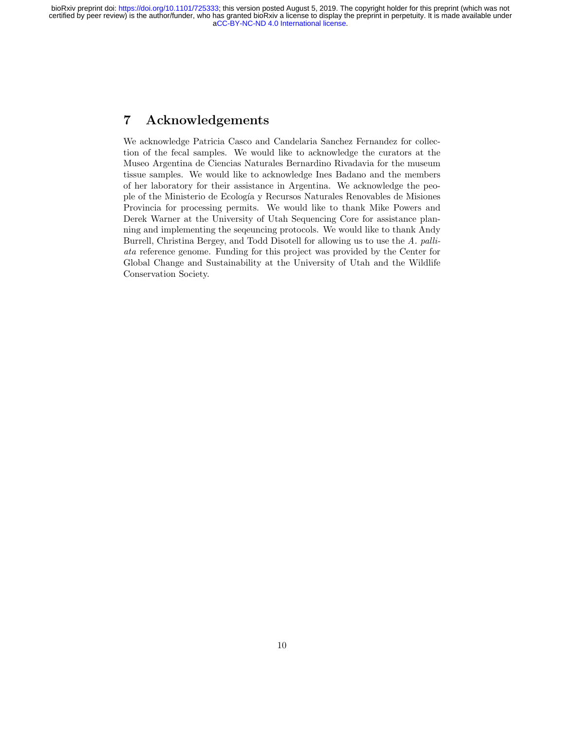# 7 Acknowledgements

We acknowledge Patricia Casco and Candelaria Sanchez Fernandez for collection of the fecal samples. We would like to acknowledge the curators at the Museo Argentina de Ciencias Naturales Bernardino Rivadavia for the museum tissue samples. We would like to acknowledge Ines Badano and the members of her laboratory for their assistance in Argentina. We acknowledge the people of the Ministerio de Ecolog´ıa y Recursos Naturales Renovables de Misiones Provincia for processing permits. We would like to thank Mike Powers and Derek Warner at the University of Utah Sequencing Core for assistance planning and implementing the seqeuncing protocols. We would like to thank Andy Burrell, Christina Bergey, and Todd Disotell for allowing us to use the A. palliata reference genome. Funding for this project was provided by the Center for Global Change and Sustainability at the University of Utah and the Wildlife Conservation Society.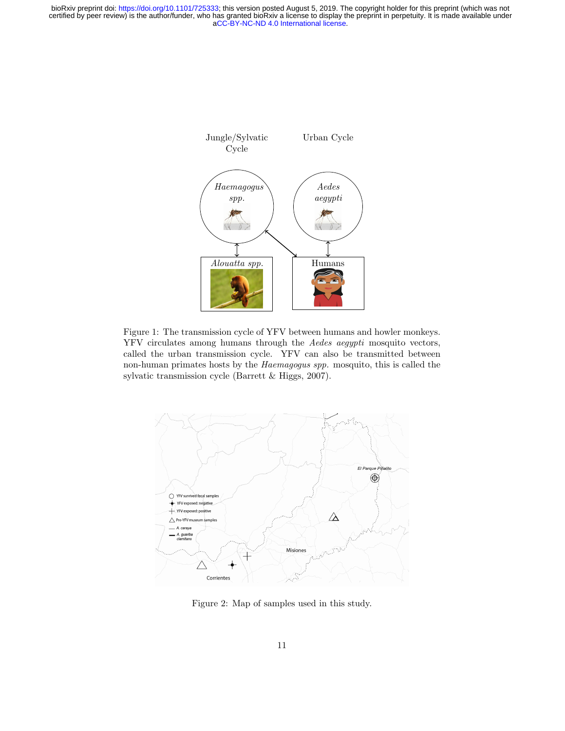certified by peer review) is the author/funder, who has granted bioRxiv a license to display the preprint in perpetuity. It is made available under<br>[aCC-BY-NC-ND 4.0 International license.](http://creativecommons.org/licenses/by-nc-nd/4.0/) bioRxiv preprint doi: [https://doi.org/10.1101/725333;](https://doi.org/10.1101/725333) this version posted August 5, 2019. The copyright holder for this preprint (which was not



Figure 1: The transmission cycle of YFV between humans and howler monkeys. YFV circulates among humans through the Aedes aegypti mosquito vectors, called the urban transmission cycle. YFV can also be transmitted between non-human primates hosts by the Haemagogus spp. mosquito, this is called the sylvatic transmission cycle (Barrett & Higgs, 2007).



Figure 2: Map of samples used in this study.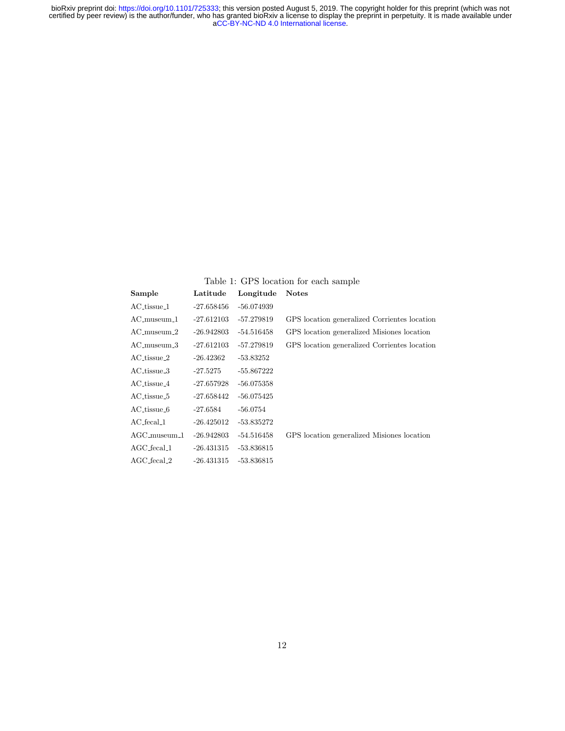### Table 1: GPS location for each sample

| Sample            | Latitude     | Longitude Notes |                                              |
|-------------------|--------------|-----------------|----------------------------------------------|
| AC_tissue_1       | -27.658456   | $-56.074939$    |                                              |
| $AC$ _museum_ $1$ | $-27.612103$ | -57.279819      | GPS location generalized Corrientes location |
| $AC$ -museum $-2$ | -26.942803   | $-54.516458$    | GPS location generalized Misiones location   |
| $AC$ _museum_ $3$ | $-27.612103$ | -57.279819      | GPS location generalized Corrientes location |
| $AC_t$ issue $-2$ | $-26.42362$  | $-53.83252$     |                                              |
| AC_tissue_3       | -27.5275     | $-55.867222$    |                                              |
| AC_tissue_4       | -27.657928   | $-56.075358$    |                                              |
| AC_tissue_5       | $-27.658442$ | $-56.075425$    |                                              |
| AC_tissue_6       | -27.6584     | $-56.0754$      |                                              |
| AC_fecal_1        | $-26.425012$ | -53.835272      |                                              |
| $AGC$ _museum_1   | $-26.942803$ | $-54.516458$    | GPS location generalized Misiones location   |
| AGC_fecal_1       | -26.431315   | $-53.836815$    |                                              |
| $AGC$ fecal $2$   | $-26.431315$ | $-53.836815$    |                                              |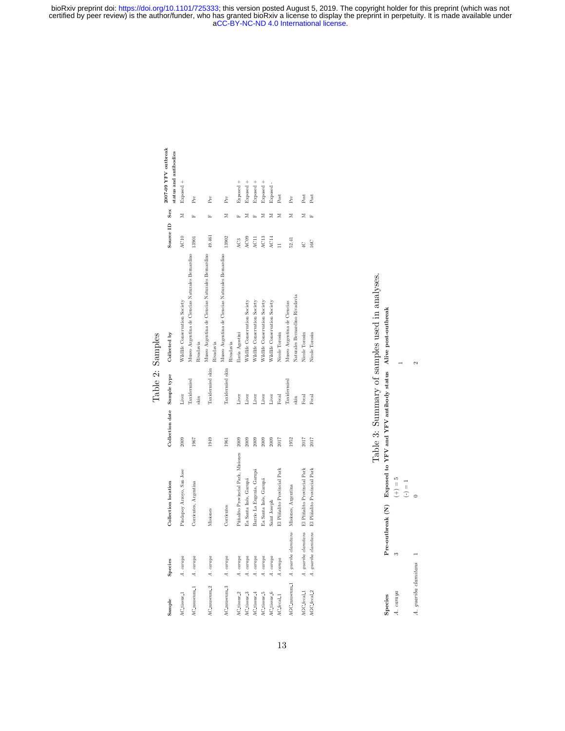> Table 2: Samples Table 2: Samples

| Sample                 | Species                                               | Collection location                              | Collection date Sample type |                     | Collected by                                                  | Source $ID$      | Sex | 2007-09 YFV outbreak  |
|------------------------|-------------------------------------------------------|--------------------------------------------------|-----------------------------|---------------------|---------------------------------------------------------------|------------------|-----|-----------------------|
|                        |                                                       |                                                  |                             |                     |                                                               |                  |     | status and antibodies |
| AC_tissue_1            | A. caraya                                             | Pindapoy Arroyo, San Jose                        | 2009                        | Liver               | Wildlife Conservation Society                                 | AC10             | z   | Exposed +             |
| AC_museum_1            | A. caraya                                             | Corrientes, Argentina                            | 1967                        | Taxidernied<br>skin | Museo Argentina de Ciencias Naturales Bernardino<br>Rivadavia | 13901            |     | Pre                   |
| AC_museum_2            | A. caraya                                             | Misiones                                         | 1949                        | Taxidermied skin    | Museo Argentina de Ciencias Naturales Bernardino<br>Rivadavia | 49.461           |     | Pre                   |
| AC_museum_3            | A. caraya                                             | Corrientes                                       | 1961                        | Taxidermied skin    | Museo Argentina de Ciencias Naturales Bernardino<br>Rivadavia | 13902            | Σ   | Pre                   |
| AC_tissue_2            | A. caraya                                             | Piñalito Provincial Park, Misiones               | 2009                        | Liver               | Ilaria Agostini                                               | ÅC3              |     | Exposed +             |
| AC_tissue_3            | A. caraya                                             | Ea Santa Inés, Garupá                            | 2009                        | Liver               | Wildlife Conservation Society                                 | AC <sub>09</sub> | z   | Exposed +             |
| AC tissue <sub>4</sub> | A. caraya                                             | Barrio La Eugenia, Garupá                        | 2009                        | Liver               | Wildlife Conservation Society                                 | AC11             |     | Exposed +             |
| AC_tissue_5            | A. caraya                                             | Ea Santa Inés, Garupá                            | 2009                        | Liver               | Wildlife Conservation Society                                 | AC13             | z   | Exposed +             |
| AC_tissue_6            | A. caraya                                             | Saint Joseph                                     | 2009                        | Liver               | Wildlife Conservation Society                                 | AC14             | Σ   | Exposed -             |
| AC_fecal_1             | A.caraya                                              | El Piiñalito Provincial Park                     | 2017                        | Fecal               | Nicole Torosin                                                |                  | Σ   | Post                  |
|                        | AGC_museum_1 A. guariba clamitans Misiones, Argentina |                                                  | 1952                        | Taxidernied<br>skin | Naturales Bernardino Rivadavia<br>Museo Argentina de Ciencias | 52.41            | Σ   | Pre                   |
| AGC_fecal_1            |                                                       | A. guariba clamitans El Piñalito Provincial Park | 2017                        | Fecal               | Nicole Torosin                                                | $\frac{1}{2}$    | Σ   | Post                  |
| AGC_fecal_2            |                                                       | A. guariba clamitans El Piñalito Provincial Park | 2017                        | Fecal               | Nicole Torosin                                                | 16C              |     | Post                  |
|                        |                                                       |                                                  |                             |                     |                                                               |                  |     |                       |

|                      | Table 3: Summary of samples used in analyses.                                 |  |
|----------------------|-------------------------------------------------------------------------------|--|
| Species              | Pre-outbreak $(N)$ Exposed to YFV and YFV antibody status Alive post-outbreak |  |
|                      | $+ ) = 5$<br>II                                                               |  |
| A. quariba clamitans |                                                                               |  |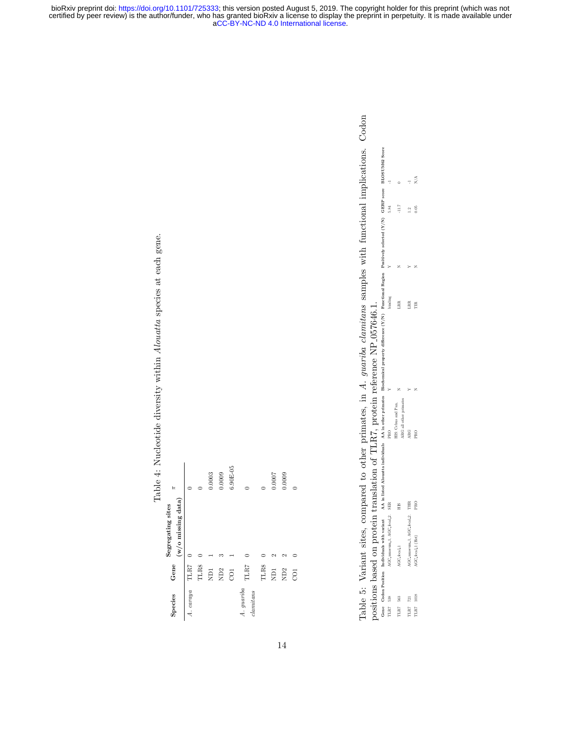Table 4: Nucleotide diversity within Alouatta species at each gene. Table 4: Nucleotide diversity within Alouatta species at each gene.

| F                 |                       |           |             | 0.0003     | 0.0009 | $6.90E-05$      |                       |      | 0.0007          | 0.0009          |  |
|-------------------|-----------------------|-----------|-------------|------------|--------|-----------------|-----------------------|------|-----------------|-----------------|--|
| Segregating sites | $(w/o)$ missing data) |           |             |            |        |                 |                       |      |                 |                 |  |
|                   |                       | TLR7      | <b>TLR8</b> | <b>IGN</b> | ND2    | CO <sub>1</sub> | TLR7                  | TLR8 | ND <sub>1</sub> | ND <sub>2</sub> |  |
| Species Gene      |                       | A. caraya |             |            |        |                 | A. guariba<br>damians |      |                 |                 |  |

Table 5: Variant sites, compared to other primates, in A. guariba clamitans samples with functional implications. Codon Table 5: Variant sites, compared to other primates, in A. guariba clamitans samples with functional implications. Codon positions based on protein translation of TLR7, protein reference NP\_057646.1. positions based on protein translation of  $\text{TLR}$ 7, protein reference NP 057646.1.

|  |  | Gene Codon Position Individuals with variant AA in listed Alomatta individuals AA in other primates Boodencal property difference (Y/N) Panachana Region Positively selected (Y/N) GERP second BOSUM28 Score<br>TLR7 538<br>TLR7 53 |  |  |
|--|--|-------------------------------------------------------------------------------------------------------------------------------------------------------------------------------------------------------------------------------------|--|--|
|  |  |                                                                                                                                                                                                                                     |  |  |
|  |  |                                                                                                                                                                                                                                     |  |  |
|  |  |                                                                                                                                                                                                                                     |  |  |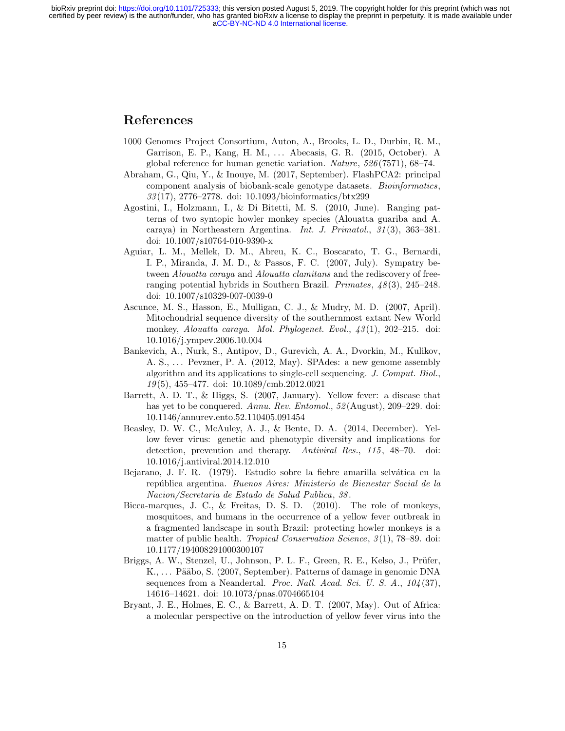# References

- 1000 Genomes Project Consortium, Auton, A., Brooks, L. D., Durbin, R. M., Garrison, E. P., Kang, H. M., . . . Abecasis, G. R. (2015, October). A global reference for human genetic variation. Nature, 526 (7571), 68–74.
- Abraham, G., Qiu, Y., & Inouye, M. (2017, September). FlashPCA2: principal component analysis of biobank-scale genotype datasets. Bioinformatics, 33 (17), 2776–2778. doi: 10.1093/bioinformatics/btx299
- Agostini, I., Holzmann, I., & Di Bitetti, M. S. (2010, June). Ranging patterns of two syntopic howler monkey species (Alouatta guariba and A. caraya) in Northeastern Argentina. Int. J. Primatol., 31 (3), 363–381. doi: 10.1007/s10764-010-9390-x
- Aguiar, L. M., Mellek, D. M., Abreu, K. C., Boscarato, T. G., Bernardi, I. P., Miranda, J. M. D., & Passos, F. C. (2007, July). Sympatry between Alouatta caraya and Alouatta clamitans and the rediscovery of freeranging potential hybrids in Southern Brazil. Primates,  $48(3)$ , 245–248. doi: 10.1007/s10329-007-0039-0
- Ascunce, M. S., Hasson, E., Mulligan, C. J., & Mudry, M. D. (2007, April). Mitochondrial sequence diversity of the southernmost extant New World monkey, Alouatta caraya. Mol. Phylogenet. Evol.,  $\frac{1}{3}(1)$ , 202–215. doi: 10.1016/j.ympev.2006.10.004
- Bankevich, A., Nurk, S., Antipov, D., Gurevich, A. A., Dvorkin, M., Kulikov, A. S., ... Pevzner, P. A. (2012, May). SPAdes: a new genome assembly algorithm and its applications to single-cell sequencing. J. Comput. Biol., 19 (5), 455–477. doi: 10.1089/cmb.2012.0021
- Barrett, A. D. T., & Higgs, S. (2007, January). Yellow fever: a disease that has yet to be conquered. Annu. Rev. Entomol.,  $52$ (August), 209–229. doi: 10.1146/annurev.ento.52.110405.091454
- Beasley, D. W. C., McAuley, A. J., & Bente, D. A. (2014, December). Yellow fever virus: genetic and phenotypic diversity and implications for detection, prevention and therapy. Antiviral Res., 115, 48–70. doi: 10.1016/j.antiviral.2014.12.010
- Bejarano, J. F. R. (1979). Estudio sobre la fiebre amarilla selvática en la república argentina. Buenos Aires: Ministerio de Bienestar Social de la Nacion/Secretaria de Estado de Salud Publica, 38 .
- Bicca-marques, J. C., & Freitas, D. S. D. (2010). The role of monkeys, mosquitoes, and humans in the occurrence of a yellow fever outbreak in a fragmented landscape in south Brazil: protecting howler monkeys is a matter of public health. *Tropical Conservation Science*,  $\mathcal{S}(1)$ , 78–89. doi: 10.1177/194008291000300107
- Briggs, A. W., Stenzel, U., Johnson, P. L. F., Green, R. E., Kelso, J., Prüfer, K., ... Pääbo, S. (2007, September). Patterns of damage in genomic DNA sequences from a Neandertal. Proc. Natl. Acad. Sci. U. S. A.,  $104(37)$ , 14616–14621. doi: 10.1073/pnas.0704665104
- Bryant, J. E., Holmes, E. C., & Barrett, A. D. T. (2007, May). Out of Africa: a molecular perspective on the introduction of yellow fever virus into the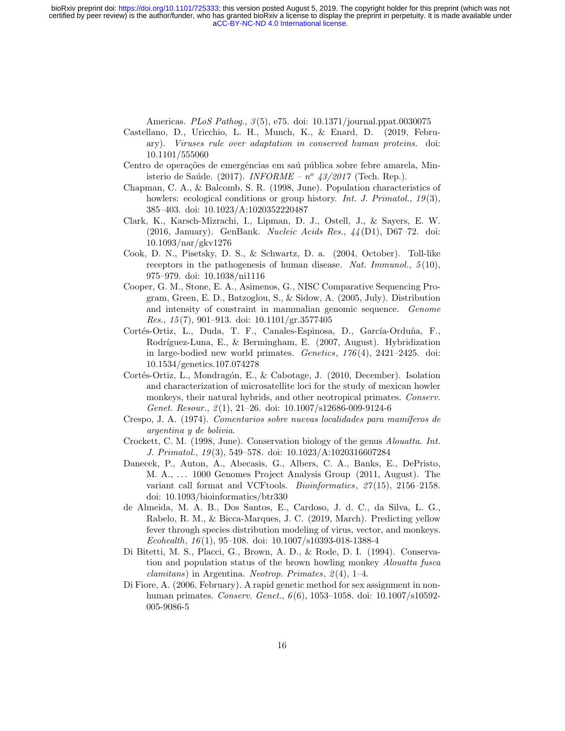Americas. *PLoS Pathog.*, 3(5), e75. doi: 10.1371/journal.ppat.0030075

- Castellano, D., Uricchio, L. H., Munch, K., & Enard, D. (2019, February). Viruses rule over adaptation in conserved human proteins. doi: 10.1101/555060
- Centro de operações de emergências em saú pública sobre febre amarela, Ministerio de Saúde. (2017). INFORME –  $n^{\circ}$  43/2017 (Tech. Rep.).
- Chapman, C. A., & Balcomb, S. R. (1998, June). Population characteristics of howlers: ecological conditions or group history. *Int. J. Primatol.*,  $19(3)$ , 385–403. doi: 10.1023/A:1020352220487
- Clark, K., Karsch-Mizrachi, I., Lipman, D. J., Ostell, J., & Sayers, E. W. (2016, January). GenBank. Nucleic Acids Res., 44 (D1), D67–72. doi: 10.1093/nar/gkv1276
- Cook, D. N., Pisetsky, D. S., & Schwartz, D. a. (2004, October). Toll-like receptors in the pathogenesis of human disease. Nat. Immunol.,  $5(10)$ , 975–979. doi: 10.1038/ni1116
- Cooper, G. M., Stone, E. A., Asimenos, G., NISC Comparative Sequencing Program, Green, E. D., Batzoglou, S., & Sidow, A. (2005, July). Distribution and intensity of constraint in mammalian genomic sequence. Genome Res., 15 (7), 901–913. doi: 10.1101/gr.3577405
- Cortés-Ortiz, L., Duda, T. F., Canales-Espinosa, D., García-Orduña, F., Rodríguez-Luna, E., & Bermingham, E. (2007, August). Hybridization in large-bodied new world primates. Genetics,  $176(4)$ ,  $2421-2425$ . doi: 10.1534/genetics.107.074278
- Cortés-Ortiz, L., Mondragón, E., & Cabotage, J. (2010, December). Isolation and characterization of microsatellite loci for the study of mexican howler monkeys, their natural hybrids, and other neotropical primates. Conserv. Genet. Resour.,  $\mathcal{Z}(1)$ , 21–26. doi: 10.1007/s12686-009-9124-6
- Crespo, J. A. (1974). Comentarios sobre nuevas localidades para mamíferos de argentina y de bolivia.
- Crockett, C. M. (1998, June). Conservation biology of the genus Alouatta. Int. J. Primatol., 19 (3), 549–578. doi: 10.1023/A:1020316607284
- Danecek, P., Auton, A., Abecasis, G., Albers, C. A., Banks, E., DePristo, M. A., . . . 1000 Genomes Project Analysis Group (2011, August). The variant call format and VCFtools. *Bioinformatics*, 27(15), 2156–2158. doi: 10.1093/bioinformatics/btr330
- de Almeida, M. A. B., Dos Santos, E., Cardoso, J. d. C., da Silva, L. G., Rabelo, R. M., & Bicca-Marques, J. C. (2019, March). Predicting yellow fever through species distribution modeling of virus, vector, and monkeys. Ecohealth,  $16(1)$ ,  $95-108$ . doi:  $10.1007/s10393-018-1388-4$
- Di Bitetti, M. S., Placci, G., Brown, A. D., & Rode, D. I. (1994). Conservation and population status of the brown howling monkey Alouatta fusca  $clamitans)$  in Argentina. Neotrop. Primates,  $2(4)$ , 1–4.
- Di Fiore, A. (2006, February). A rapid genetic method for sex assignment in nonhuman primates. Conserv. Genet., 6(6), 1053-1058. doi: 10.1007/s10592-005-9086-5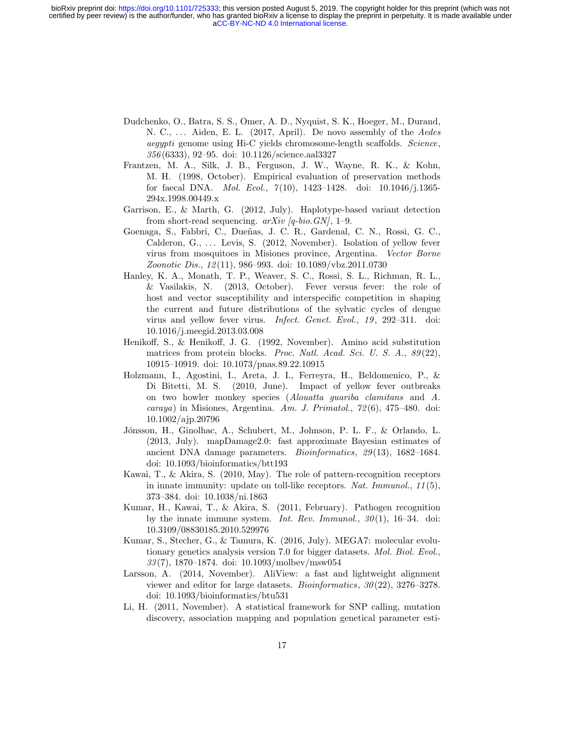- Dudchenko, O., Batra, S. S., Omer, A. D., Nyquist, S. K., Hoeger, M., Durand, N. C., ... Aiden, E. L. (2017, April). De novo assembly of the *Aedes* aegypti genome using Hi-C yields chromosome-length scaffolds. Science, 356 (6333), 92–95. doi: 10.1126/science.aal3327
- Frantzen, M. A., Silk, J. B., Ferguson, J. W., Wayne, R. K., & Kohn, M. H. (1998, October). Empirical evaluation of preservation methods for faecal DNA. *Mol. Ecol.*,  $7(10)$ ,  $1423-1428$ . doi:  $10.1046/j.1365-$ 294x.1998.00449.x
- Garrison, E., & Marth, G. (2012, July). Haplotype-based variant detection from short-read sequencing.  $arXiv$  [q-bio. GN], 1–9.
- Goenaga, S., Fabbri, C., Dueñas, J. C. R., Gardenal, C. N., Rossi, G. C., Calderon, G., ... Levis, S. (2012, November). Isolation of yellow fever virus from mosquitoes in Misiones province, Argentina. Vector Borne Zoonotic Dis., 12 (11), 986–993. doi: 10.1089/vbz.2011.0730
- Hanley, K. A., Monath, T. P., Weaver, S. C., Rossi, S. L., Richman, R. L., & Vasilakis, N. (2013, October). Fever versus fever: the role of host and vector susceptibility and interspecific competition in shaping the current and future distributions of the sylvatic cycles of dengue virus and yellow fever virus. Infect. Genet. Evol., 19, 292-311. doi: 10.1016/j.meegid.2013.03.008
- Henikoff, S., & Henikoff, J. G. (1992, November). Amino acid substitution matrices from protein blocks. *Proc. Natl. Acad. Sci. U. S. A.*,  $89(22)$ , 10915–10919. doi: 10.1073/pnas.89.22.10915
- Holzmann, I., Agostini, I., Areta, J. I., Ferreyra, H., Beldomenico, P., & Di Bitetti, M. S. (2010, June). Impact of yellow fever outbreaks on two howler monkey species (Alouatta guariba clamitans and A.  $caraya)$  in Misiones, Argentina. Am. J. Primatol.,  $72(6)$ ,  $475-480$ . doi: 10.1002/ajp.20796
- Jónsson, H., Ginolhac, A., Schubert, M., Johnson, P. L. F., & Orlando, L. (2013, July). mapDamage2.0: fast approximate Bayesian estimates of ancient DNA damage parameters. Bioinformatics, 29 (13), 1682–1684. doi: 10.1093/bioinformatics/btt193
- Kawai, T., & Akira, S. (2010, May). The role of pattern-recognition receptors in innate immunity: update on toll-like receptors. Nat. Immunol.,  $11(5)$ , 373–384. doi: 10.1038/ni.1863
- Kumar, H., Kawai, T., & Akira, S. (2011, February). Pathogen recognition by the innate immune system. Int. Rev. Immunol.,  $30(1)$ , 16–34. doi: 10.3109/08830185.2010.529976
- Kumar, S., Stecher, G., & Tamura, K. (2016, July). MEGA7: molecular evolutionary genetics analysis version 7.0 for bigger datasets. Mol. Biol. Evol., 33 (7), 1870–1874. doi: 10.1093/molbev/msw054
- Larsson, A. (2014, November). AliView: a fast and lightweight alignment viewer and editor for large datasets. *Bioinformatics*,  $30(22)$ ,  $3276-3278$ . doi: 10.1093/bioinformatics/btu531
- Li, H. (2011, November). A statistical framework for SNP calling, mutation discovery, association mapping and population genetical parameter esti-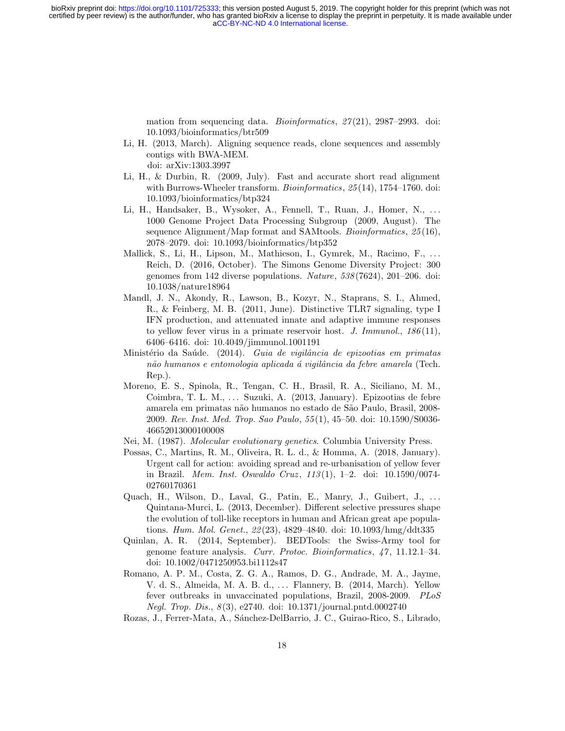> mation from sequencing data. *Bioinformatics*,  $27(21)$ , 2987–2993. doi: 10.1093/bioinformatics/btr509

- Li, H. (2013, March). Aligning sequence reads, clone sequences and assembly contigs with BWA-MEM. doi: arXiv:1303.3997
- Li, H., & Durbin, R. (2009, July). Fast and accurate short read alignment with Burrows-Wheeler transform. *Bioinformatics*, 25(14), 1754–1760. doi: 10.1093/bioinformatics/btp324
- Li, H., Handsaker, B., Wysoker, A., Fennell, T., Ruan, J., Homer, N., ... 1000 Genome Project Data Processing Subgroup (2009, August). The sequence Alignment/Map format and SAMtools. Bioinformatics, 25 (16), 2078–2079. doi: 10.1093/bioinformatics/btp352
- Mallick, S., Li, H., Lipson, M., Mathieson, I., Gymrek, M., Racimo, F., ... Reich, D. (2016, October). The Simons Genome Diversity Project: 300 genomes from 142 diverse populations. Nature, 538 (7624), 201–206. doi: 10.1038/nature18964
- Mandl, J. N., Akondy, R., Lawson, B., Kozyr, N., Staprans, S. I., Ahmed, R., & Feinberg, M. B. (2011, June). Distinctive TLR7 signaling, type I IFN production, and attenuated innate and adaptive immune responses to yellow fever virus in a primate reservoir host. J. Immunol.,  $186(11)$ , 6406–6416. doi: 10.4049/jimmunol.1001191
- Ministério da Saúde. (2014). Guia de vigilância de epizootias em primatas não humanos e entomologia aplicada á vigilância da febre amarela (Tech. Rep.).
- Moreno, E. S., Spinola, R., Tengan, C. H., Brasil, R. A., Siciliano, M. M., Coimbra, T. L. M., ... Suzuki, A. (2013, January). Epizootias de febre amarela em primatas n˜ao humanos no estado de S˜ao Paulo, Brasil, 2008- 2009. Rev. Inst. Med. Trop. Sao Paulo, 55 (1), 45–50. doi: 10.1590/S0036- 46652013000100008
- Nei, M. (1987). Molecular evolutionary genetics. Columbia University Press.
- Possas, C., Martins, R. M., Oliveira, R. L. d., & Homma, A. (2018, January). Urgent call for action: avoiding spread and re-urbanisation of yellow fever in Brazil. Mem. Inst. Oswaldo Cruz , 113 (1), 1–2. doi: 10.1590/0074- 02760170361
- Quach, H., Wilson, D., Laval, G., Patin, E., Manry, J., Guibert, J., ... Quintana-Murci, L. (2013, December). Different selective pressures shape the evolution of toll-like receptors in human and African great ape populations. Hum. Mol. Genet., 22 (23), 4829–4840. doi: 10.1093/hmg/ddt335
- Quinlan, A. R. (2014, September). BEDTools: the Swiss-Army tool for genome feature analysis. Curr. Protoc. Bioinformatics, 47 , 11.12.1–34. doi: 10.1002/0471250953.bi1112s47
- Romano, A. P. M., Costa, Z. G. A., Ramos, D. G., Andrade, M. A., Jayme, V. d. S., Almeida, M. A. B. d., ... Flannery, B. (2014, March). Yellow fever outbreaks in unvaccinated populations, Brazil, 2008-2009. PLoS Negl. Trop. Dis.,  $8(3)$ , e2740. doi: 10.1371/journal.pntd.0002740
- Rozas, J., Ferrer-Mata, A., Sánchez-DelBarrio, J. C., Guirao-Rico, S., Librado,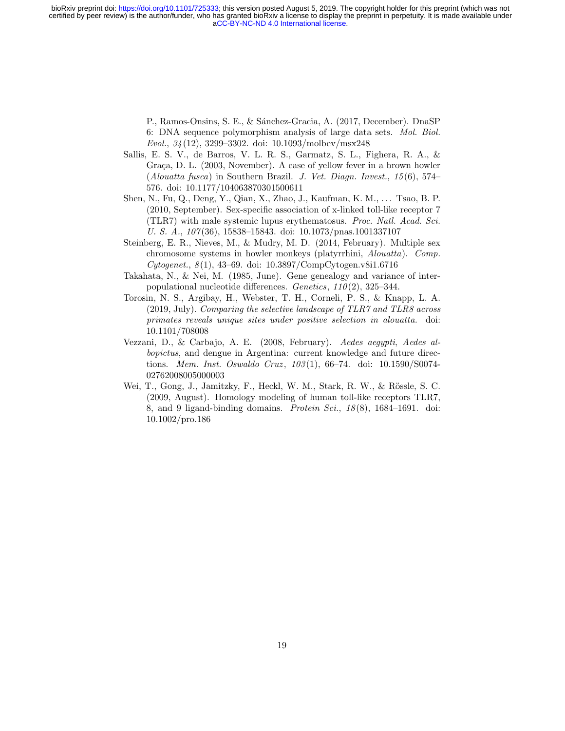> P., Ramos-Onsins, S. E., & Sánchez-Gracia, A. (2017, December). DnaSP 6: DNA sequence polymorphism analysis of large data sets. Mol. Biol. Evol., 34 (12), 3299–3302. doi: 10.1093/molbev/msx248

- Sallis, E. S. V., de Barros, V. L. R. S., Garmatz, S. L., Fighera, R. A., & Graca, D. L. (2003, November). A case of yellow fever in a brown howler (Alouatta fusca) in Southern Brazil. J. Vet. Diagn. Invest.,  $15(6)$ ,  $574-$ 576. doi: 10.1177/104063870301500611
- Shen, N., Fu, Q., Deng, Y., Qian, X., Zhao, J., Kaufman, K. M., . . . Tsao, B. P. (2010, September). Sex-specific association of x-linked toll-like receptor 7 (TLR7) with male systemic lupus erythematosus. Proc. Natl. Acad. Sci. U. S. A.,  $107(36)$ , 15838–15843. doi: 10.1073/pnas.1001337107
- Steinberg, E. R., Nieves, M., & Mudry, M. D. (2014, February). Multiple sex chromosome systems in howler monkeys (platyrrhini, Alouatta). Comp.  $Cytogenet., 8(1), 43–69. \text{ doi: } 10.3897/\text{CompCytogen.}$ v8i1.6716
- Takahata, N., & Nei, M. (1985, June). Gene genealogy and variance of interpopulational nucleotide differences. Genetics,  $110(2)$ , 325–344.
- Torosin, N. S., Argibay, H., Webster, T. H., Corneli, P. S., & Knapp, L. A. (2019, July). Comparing the selective landscape of TLR7 and TLR8 across primates reveals unique sites under positive selection in alouatta. doi: 10.1101/708008
- Vezzani, D., & Carbajo, A. E. (2008, February). Aedes aegypti, Aedes albopictus, and dengue in Argentina: current knowledge and future directions. Mem. Inst. Oswaldo Cruz, 103(1), 66-74. doi: 10.1590/S0074-02762008005000003
- Wei, T., Gong, J., Jamitzky, F., Heckl, W. M., Stark, R. W., & Rössle, S. C. (2009, August). Homology modeling of human toll-like receptors TLR7, 8, and 9 ligand-binding domains. Protein Sci.,  $18(8)$ ,  $1684-1691$ . doi: 10.1002/pro.186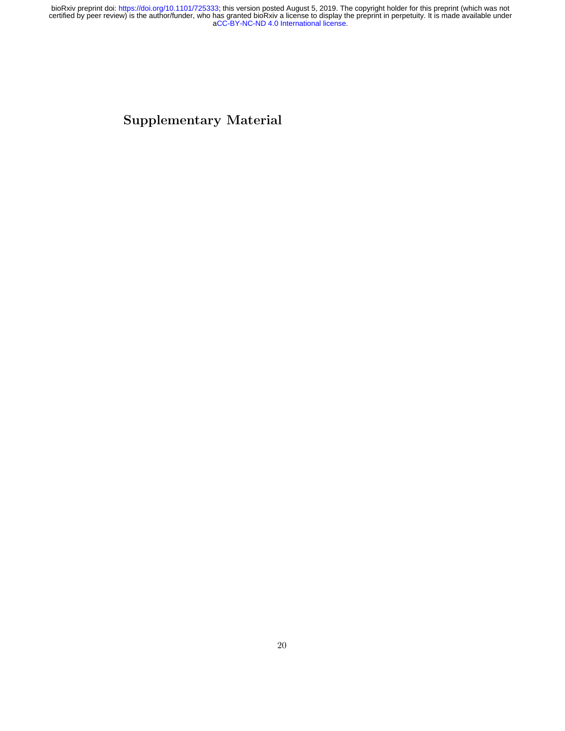Supplementary Material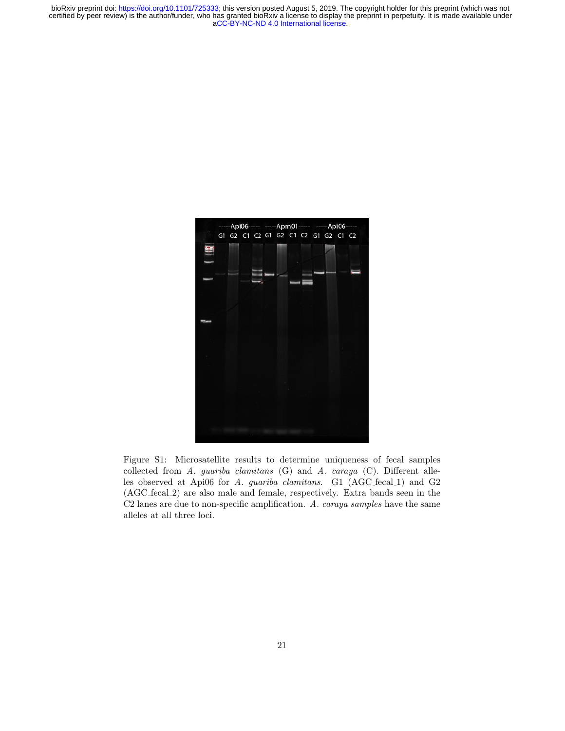

Figure S1: Microsatellite results to determine uniqueness of fecal samples collected from A. guariba clamitans (G) and A. caraya (C). Different alleles observed at Api06 for A. guariba clamitans. G1 (AGC\_fecal\_1) and G2 (AGC fecal 2) are also male and female, respectively. Extra bands seen in the C2 lanes are due to non-specific amplification. A. caraya samples have the same alleles at all three loci.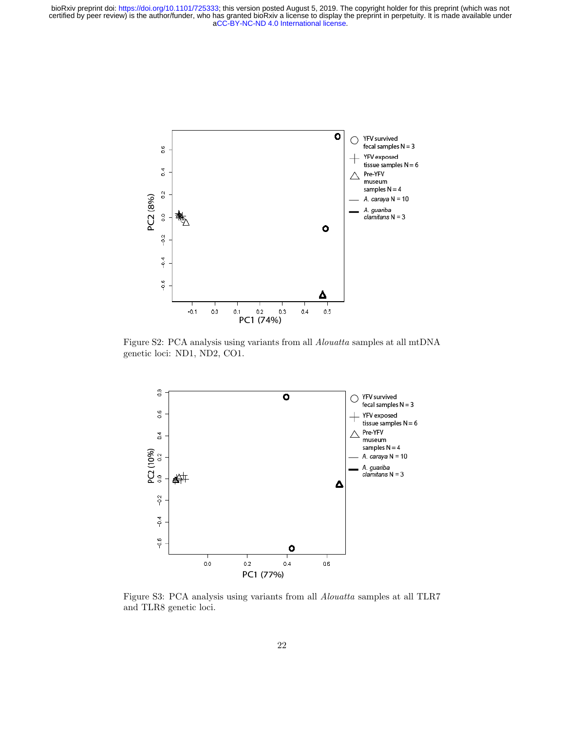

Figure S2: PCA analysis using variants from all Alouatta samples at all mtDNA genetic loci: ND1, ND2, CO1.



Figure S3: PCA analysis using variants from all Alouatta samples at all TLR7 and TLR8 genetic loci.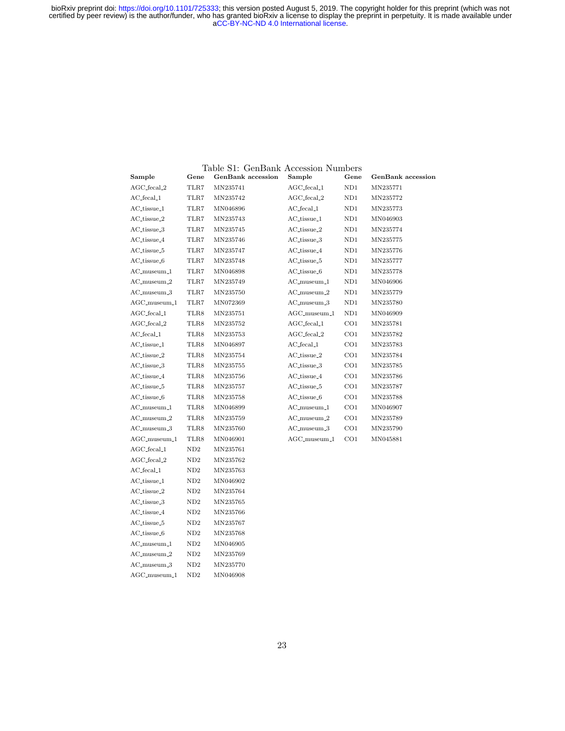|                                      |      | Table S1: GenBank Accession Numbers |                             |                 |                          |
|--------------------------------------|------|-------------------------------------|-----------------------------|-----------------|--------------------------|
| Sample                               | Gene | <b>GenBank</b> accession            | Sample                      | Gene            | <b>GenBank</b> accession |
| $AGC_{\text{.}$ fecal $_{\text{-}2}$ | TLR7 | MN235741                            | $AGC_{\text{.}$ fecal $\_1$ | ND1             | MN235771                 |
| AC_fecal_1                           | TLR7 | MN235742                            | $AGC$ -fecal <sub>-2</sub>  | ND1             | MN235772                 |
| AC_tissue_1                          | TLR7 | MN046896                            | $AC$ <sub>fecal</sub> $1$   | ND1             | MN235773                 |
| AC_tissue_2                          | TLR7 | MN235743                            | AC_tissue_1                 | ND1             | MN046903                 |
| AC_tissue_3                          | TLR7 | MN235745                            | $AC_t$ issue <sub>-2</sub>  | ND1             | MN235774                 |
| AC_tissue_4                          | TLR7 | MN235746                            | AC_tissue_3                 | ND1             | MN235775                 |
| AC_tissue_5                          | TLR7 | MN235747                            | AC_tissue_4                 | ND1             | MN235776                 |
| AC_tissue_6                          | TLR7 | MN235748                            | AC_tissue_5                 | ND1             | MN235777                 |
| $AC$ -museum $-1$                    | TLR7 | MN046898                            | AC_tissue_6                 | ND1             | MN235778                 |
| $AC$ _museum $_2$                    | TLR7 | MN235749                            | $AC$ _museum_ $1$           | ND1             | MN046906                 |
| $AC$ _museum_3                       | TLR7 | MN235750                            | $AC$ _museum $_2$           | ND1             | MN235779                 |
| $AGC$ _museum_1                      | TLR7 | MN072369                            | $AC$ _museum_3              | ND1             | MN235780                 |
| $AGC$ -fecal <sub>-1</sub>           | TLR8 | MN235751                            | $AGC$ -museum-1             | ND1             | MN046909                 |
| AGC_fecal_2                          | TLR8 | MN235752                            | AGC_fecal_1                 | CO <sub>1</sub> | MN235781                 |
| $AC$ <sub>fecal</sub> $1$            | TLR8 | MN235753                            | $AGC$ <sub>fecal</sub> $2$  | CO <sub>1</sub> | MN235782                 |
| AC_tissue_1                          | TLR8 | MN046897                            | $AC$ <sub>fecal</sub> $1$   | CO <sub>1</sub> | MN235783                 |
| AC_tissue_2                          | TLR8 | MN235754                            | AC_tissue_2                 | CO <sub>1</sub> | MN235784                 |
| AC_tissue_3                          | TLR8 | MN235755                            | AC_tissue_3                 | CO <sub>1</sub> | MN235785                 |
| AC_tissue_4                          | TLR8 | MN235756                            | AC_tissue_4                 | CO <sub>1</sub> | MN235786                 |
| AC_tissue_5                          | TLR8 | MN235757                            | AC_tissue_5                 | CO <sub>1</sub> | MN235787                 |
| AC_tissue_6                          | TLR8 | MN235758                            | AC_tissue_6                 | CO <sub>1</sub> | MN235788                 |
| AC_museum_1                          | TLR8 | MN046899                            | AC_museum_1                 | CO <sub>1</sub> | MN046907                 |
| $AC$ _museum_2                       | TLR8 | MN235759                            | $AC$ _museum_2              | CO <sub>1</sub> | MN235789                 |
| AC_museum_3                          | TLR8 | MN235760                            | AC_museum_3                 | CO <sub>1</sub> | MN235790                 |
| AGC_museum_1                         | TLR8 | MN046901                            | $AGC$ _museum_1             | CO <sub>1</sub> | MN045881                 |
| $AGC$ _fecal_1                       | ND2  | MN235761                            |                             |                 |                          |
| $AGC_{\text{1}}$ fecal $2$           | ND2  | MN235762                            |                             |                 |                          |
| AC_fecal_1                           | ND2  | MN235763                            |                             |                 |                          |
| AC_tissue_1                          | ND2  | MN046902                            |                             |                 |                          |
| AC_tissue_2                          | ND2  | MN235764                            |                             |                 |                          |
| AC_tissue_3                          | ND2  | MN235765                            |                             |                 |                          |
| AC_tissue_4                          | ND2  | MN235766                            |                             |                 |                          |
| AC_tissue_5                          | ND2  | MN235767                            |                             |                 |                          |
| AC_tissue_6                          | ND2  | MN235768                            |                             |                 |                          |
| AC_museum_1                          | ND2  | MN046905                            |                             |                 |                          |
| AC_museum_2                          | ND2  | MN235769                            |                             |                 |                          |

 $\rm AC\_museum\_3 \qquad ND2 \qquad MN235770$  $\rm{AGC\_museum\_1} \quad \ ND2 \quad \ \ MN046908$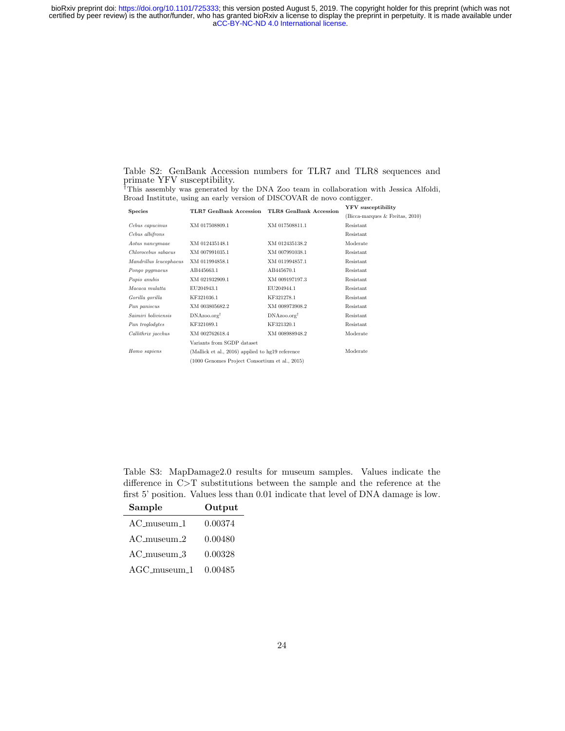Table S2: GenBank Accession numbers for TLR7 and TLR8 sequences and primate YFV susceptibility.

|  |  |  |  |  | <sup>†</sup> This assembly was generated by the DNA Zoo team in collaboration with Jessica Alfoldi, |  |  |
|--|--|--|--|--|-----------------------------------------------------------------------------------------------------|--|--|
|  |  |  |  |  | Broad Institute, using an early version of DISCOVAR de novo contigger.                              |  |  |

|                        |                                                  |                               | <b>YFV</b> susceptibility       |
|------------------------|--------------------------------------------------|-------------------------------|---------------------------------|
| Species                | <b>TLR7 GenBank Accession</b>                    | <b>TLR8 GenBank Accession</b> | (Bicca-marques & Freitas, 2010) |
| Cebus capucinus        | XM 017508809.1                                   | XM 017508811.1                | Resistant                       |
| Cebus albifrons        |                                                  |                               | Resistant                       |
| Aotus nancymaae        | XM 012435148.1                                   | XM 012435138.2                | Moderate                        |
| Chlorocebus sabaeus    | XM 007991035.1                                   | XM 007991038.1                | Resistant                       |
| Mandrillus leucophaeus | XM 011994858.1                                   | XM 011994857.1                | Resistant                       |
| Pongo pygmaeus         | AB445663.1                                       | AB445670.1                    | Resistant                       |
| Papio anubis           | XM 021932909.1                                   | XM 009197197.3                | Resistant                       |
| Macaca mulatta         | EU204943.1                                       | EU204944.1                    | Resistant                       |
| Gorilla gorilla        | KF321036.1                                       | KF321278.1                    | Resistant                       |
| Pan paniscus           | XM 003805682.2                                   | XM 008973908.2                | Resistant                       |
| Saimiri boliviensis    | $DNAzoo.org^{\dagger}$                           | $DNAzoo.org^{\dagger}$        | Resistant                       |
| Pan troglodytes        | KF321089.1                                       | KF321320.1                    | Resistant                       |
| Callithrix jacchus     | XM 002762618.4                                   | XM 008988948.2                | Moderate                        |
|                        | Variants from SGDP dataset                       |                               |                                 |
| Homo sapiens           | (Mallick et al., 2016) applied to hg19 reference |                               | Moderate                        |
|                        | (1000 Genomes Project Consortium et al., 2015)   |                               |                                 |

Table S3: MapDamage2.0 results for museum samples. Values indicate the difference in C>T substitutions between the sample and the reference at the first 5' position. Values less than 0.01 indicate that level of DNA damage is low.

| Sample            | Output  |
|-------------------|---------|
| $AC$ _museum_1    | 0.00374 |
| $AC$ -museum $-2$ | 0.00480 |
| $AC$ -museum $-3$ | 0.00328 |
| $AGC$ _museum_1   | 0.00485 |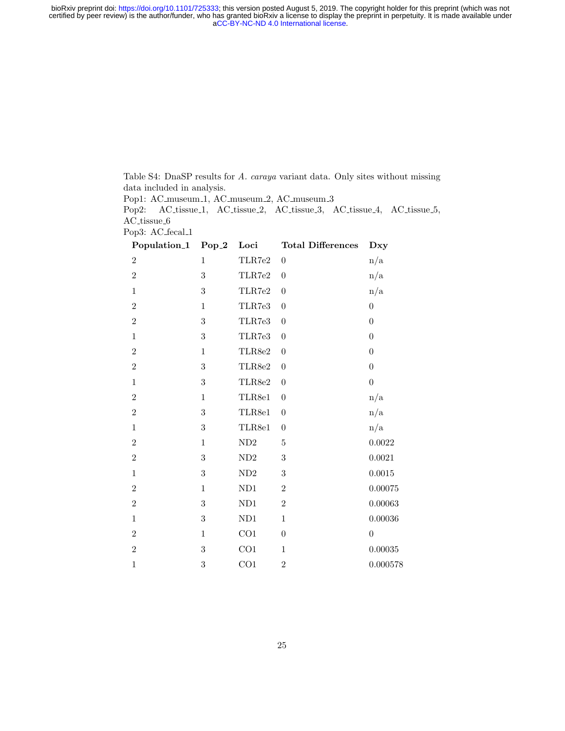> Table S4: DnaSP results for A. caraya variant data. Only sites without missing data included in analysis.

Pop1: AC\_museum\_1, AC\_museum\_2, AC\_museum\_3

Pop2: AC\_tissue\_1, AC\_tissue\_2, AC\_tissue\_3, AC\_tissue\_4, AC\_tissue\_5, AC tissue 6

Pop3: AC\_fecal\_1

| Population_1   | $Pop_2$          | Loci                    | <b>Total Differences</b> | Dxy              |
|----------------|------------------|-------------------------|--------------------------|------------------|
| $\overline{2}$ | $\mathbf{1}$     | TLR7e2                  | $\boldsymbol{0}$         | n/a              |
| $\overline{2}$ | $\sqrt{3}$       | TLR7e2                  | $\boldsymbol{0}$         | n/a              |
| $\mathbf 1$    | $\sqrt{3}$       | TLR7e2                  | $\boldsymbol{0}$         | n/a              |
| $\overline{2}$ | $\mathbf{1}$     | TLR7e3                  | $\boldsymbol{0}$         | $\boldsymbol{0}$ |
| $\,2$          | $\sqrt{3}$       | ${\rm TLR7e3}$          | $\boldsymbol{0}$         | $\boldsymbol{0}$ |
| $\mathbf{1}$   | $\boldsymbol{3}$ | TLR7e3                  | $\boldsymbol{0}$         | $\boldsymbol{0}$ |
| $\overline{2}$ | $\,1$            | $\operatorname{TLR8e2}$ | $\boldsymbol{0}$         | $\boldsymbol{0}$ |
| $\,2$          | $\sqrt{3}$       | $\operatorname{TLR8e2}$ | $\boldsymbol{0}$         | $\boldsymbol{0}$ |
| $\mathbf{1}$   | $\sqrt{3}$       | TLR8e2                  | $\boldsymbol{0}$         | $\boldsymbol{0}$ |
| $\,2$          | $\,1$            | $\operatorname{TLR8e1}$ | $\boldsymbol{0}$         | n/a              |
| $\overline{2}$ | $\sqrt{3}$       | TLR8e1                  | $\boldsymbol{0}$         | n/a              |
| $\mathbf 1$    | $\sqrt{3}$       | TLR8e1                  | $\boldsymbol{0}$         | n/a              |
| $\overline{2}$ | $\,1$            | ${\rm ND2}$             | $\bf 5$                  | $0.0022\,$       |
| $\,2$          | $\sqrt{3}$       | ${\rm ND2}$             | 3                        | 0.0021           |
| $\mathbf{1}$   | 3                | ${\rm ND2}$             | 3                        | $0.0015\,$       |
| $\overline{2}$ | $\mathbf 1$      | ND1                     | $\overline{2}$           | 0.00075          |
| $\,2$          | $\sqrt{3}$       | ND1                     | $\overline{2}$           | 0.00063          |
| $\mathbf 1$    | $\sqrt{3}$       | $\mathrm{ND}1$          | $\mathbf{1}$             | $\, 0.00036\,$   |
| $\,2$          | $\mathbf 1$      | CO1                     | $\boldsymbol{0}$         | $\boldsymbol{0}$ |
| $\overline{2}$ | $\sqrt{3}$       | CO <sub>1</sub>         | $\mathbf{1}$             | $\, 0.00035\,$   |
| $\mathbf{1}$   | 3                | CO <sub>1</sub>         | $\overline{2}$           | 0.000578         |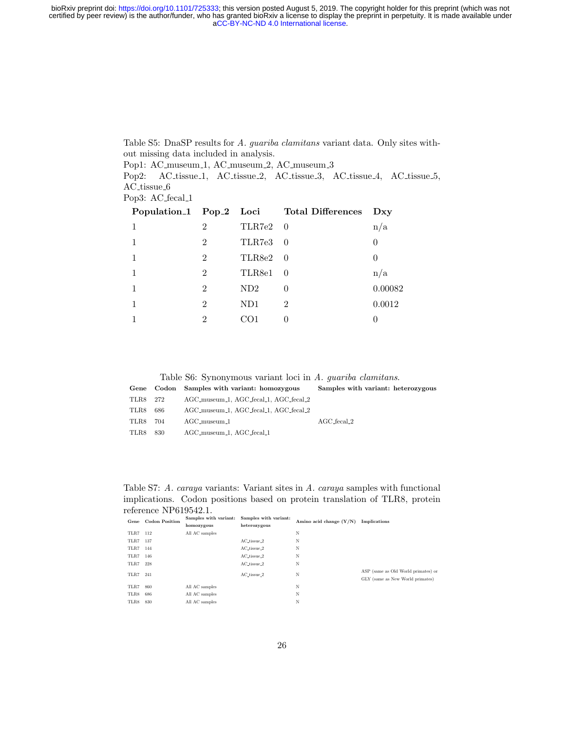certified by peer review) is the author/funder, who has granted bioRxiv a license to display the preprint in perpetuity. It is made available under<br>[aCC-BY-NC-ND 4.0 International license.](http://creativecommons.org/licenses/by-nc-nd/4.0/) bioRxiv preprint doi: [https://doi.org/10.1101/725333;](https://doi.org/10.1101/725333) this version posted August 5, 2019. The copyright holder for this preprint (which was not

> Table S5: DnaSP results for A. guariba clamitans variant data. Only sites without missing data included in analysis.

Pop1: AC\_museum\_1, AC\_museum\_2, AC\_museum\_3

Pop2: AC\_tissue\_1, AC\_tissue\_2, AC\_tissue\_3, AC\_tissue\_4, AC\_tissue\_5, AC\_tissue\_6

Pop3: AC\_fecal\_1

|                |          | Population <sub>1</sub> Pop <sub>-2</sub> Loci Total Differences | Dxy      |
|----------------|----------|------------------------------------------------------------------|----------|
| $\overline{2}$ | TLR7e2 0 |                                                                  | n/a      |
| $\overline{2}$ | TLR7e3 0 |                                                                  | $\theta$ |
| $\overline{2}$ | TLR8e2 0 |                                                                  |          |
| $\overline{2}$ | TLR8e1 0 |                                                                  | n/a      |
| $\overline{2}$ | ND2      | 0                                                                | 0.00082  |
| $\overline{2}$ | ND1      | $\overline{2}$                                                   | 0.0012   |
| $\mathfrak{D}$ | CO1      |                                                                  |          |
|                |          |                                                                  |          |

Table S6: Synonymous variant loci in A. guariba clamitans.

|          |      | Gene Codon Samples with variant: homozygous | Samples with variant: heterozygous |
|----------|------|---------------------------------------------|------------------------------------|
| TLR8 272 |      | AGC_museum_1, AGC_fecal_1, AGC_fecal_2      |                                    |
| TLR8     | 686  | AGC_museum_1, AGC_fecal_1, AGC_fecal_2      |                                    |
| TLR8     | 704  | $AGC$ -museum-1                             | $AGC$ fecal $2$                    |
| TLR8     | -830 | AGC_museum_1, AGC_fecal_1                   |                                    |

Table S7: A. caraya variants: Variant sites in A. caraya samples with functional implications. Codon positions based on protein translation of TLR8, protein reference NP619542.1.<br>
Samples with variant:

|          | Gene Codon Position | Samples with variant: | Samples with variant:<br>Amino acid change $(Y/N)$ | Implications |                                     |
|----------|---------------------|-----------------------|----------------------------------------------------|--------------|-------------------------------------|
|          |                     | homozygous            | heterozygous                                       |              |                                     |
| TLR7 112 |                     | All AC samples        |                                                    | N            |                                     |
| TLR7 137 |                     |                       | AC_tissue_2                                        | N            |                                     |
| TLR7 144 |                     |                       | $AC_$ tissue $2$                                   | N            |                                     |
| TLR7 146 |                     |                       | $AC_t$ tissue $2$                                  | N            |                                     |
| TLR7     | 228                 |                       | AC_tissue_2                                        | Ν            |                                     |
| TLR7     | 241                 |                       | AC_tissue_2                                        | N            | ASP (same as Old World primates) or |
|          |                     |                       |                                                    |              | GLY (same as New World primates)    |
| TLR7     | 860                 | All AC samples        |                                                    | Ν            |                                     |
| TLR8     | 686                 | All AC samples        |                                                    | Ν            |                                     |
| TLR8     | 830                 | All AC samples        |                                                    | Ν            |                                     |
|          |                     |                       |                                                    |              |                                     |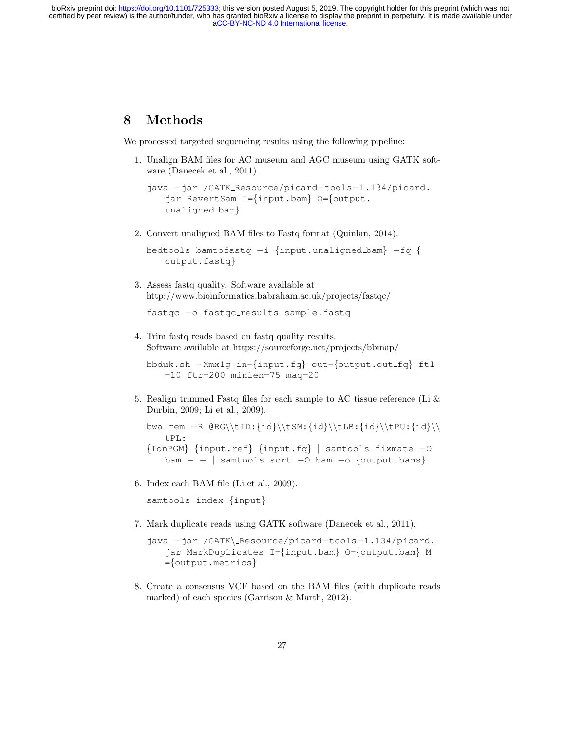# 8 Methods

We processed targeted sequencing results using the following pipeline:

1. Unalign BAM files for AC museum and AGC museum using GATK software (Danecek et al., 2011).

```
java −jar /GATK Resource/picard−tools−1.134/picard.
   jar RevertSam I={input.bam} O={output.
   unaligned bam}
```
2. Convert unaligned BAM files to Fastq format (Quinlan, 2014).

```
bedtools bamtofastq −i {input.unaligned bam} −fq {
   output.fastq}
```
3. Assess fastq quality. Software available at http://www.bioinformatics.babraham.ac.uk/projects/fastqc/

fastqc −o fastqc results sample.fastq

4. Trim fastq reads based on fastq quality results. Software available at https://sourceforge.net/projects/bbmap/

bbduk.sh −Xmx1g in={input.fq} out={output.out fq} ftl  $=10$  ftr=200 minlen=75 mag=20

5. Realign trimmed Fastq files for each sample to AC tissue reference (Li  $\&$ Durbin, 2009; Li et al., 2009).

bwa mem -R @RG\\tID:{id}\\tSM:{id}\\tLB:{id}\\tPU:{id}\\ tPL: {IonPGM} {input.ref} {input.fq} | samtools fixmate −O  $\text{bam} - -$  | samtools sort −0 bam −o {output.bams}

6. Index each BAM file (Li et al., 2009).

samtools index {input}

7. Mark duplicate reads using GATK software (Danecek et al., 2011).

8. Create a consensus VCF based on the BAM files (with duplicate reads marked) of each species (Garrison & Marth, 2012).

java −jar /GATK\ Resource/picard−tools−1.134/picard. jar MarkDuplicates I={input.bam} O={output.bam} M ={output.metrics}